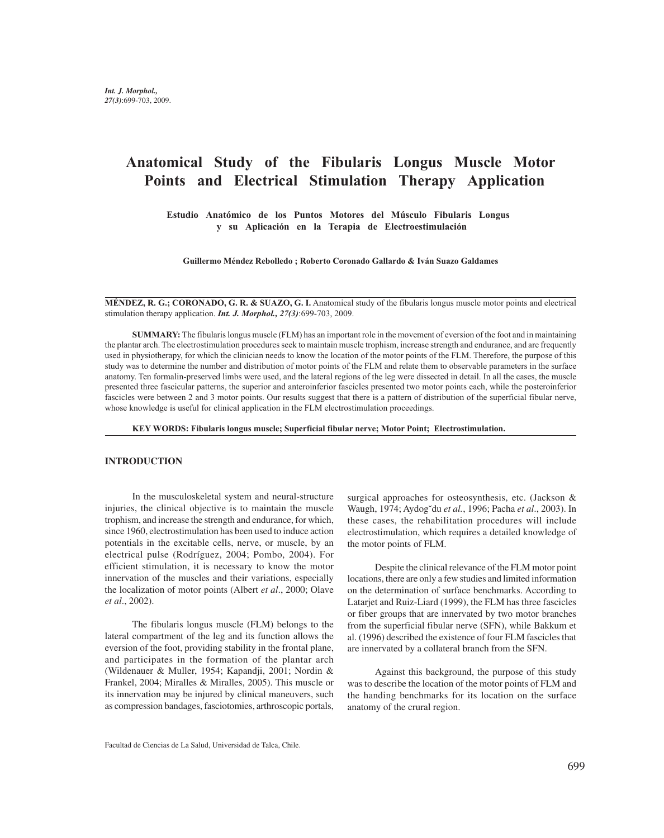# **Anatomical Study of the Fibularis Longus Muscle Motor Points and Electrical Stimulation Therapy Application**

**Estudio Anatómico de los Puntos Motores del Músculo Fibularis Longus y su Aplicación en la Terapia de Electroestimulación**

**Guillermo Méndez Rebolledo ; Roberto Coronado Gallardo & Iván Suazo Galdames**

**MÉNDEZ, R. G.; CORONADO, G. R. & SUAZO, G. I.** Anatomical study of the fibularis longus muscle motor points and electrical stimulation therapy application. *Int. J. Morphol., 27(3)*:699-703, 2009.

**SUMMARY:** The fibularis longus muscle (FLM) has an important role in the movement of eversion of the foot and in maintaining the plantar arch. The electrostimulation procedures seek to maintain muscle trophism, increase strength and endurance, and are frequently used in physiotherapy, for which the clinician needs to know the location of the motor points of the FLM. Therefore, the purpose of this study was to determine the number and distribution of motor points of the FLM and relate them to observable parameters in the surface anatomy. Ten formalin-preserved limbs were used, and the lateral regions of the leg were dissected in detail. In all the cases, the muscle presented three fascicular patterns, the superior and anteroinferior fascicles presented two motor points each, while the posteroinferior fascicles were between 2 and 3 motor points. Our results suggest that there is a pattern of distribution of the superficial fibular nerve, whose knowledge is useful for clinical application in the FLM electrostimulation proceedings.

**KEY WORDS: Fibularis longus muscle; Superficial fibular nerve; Motor Point; Electrostimulation.**

#### **INTRODUCTION**

In the musculoskeletal system and neural-structure injuries, the clinical objective is to maintain the muscle trophism, and increase the strength and endurance, for which, since 1960, electrostimulation has been used to induce action potentials in the excitable cells, nerve, or muscle, by an electrical pulse (Rodríguez, 2004; Pombo, 2004). For efficient stimulation, it is necessary to know the motor innervation of the muscles and their variations, especially the localization of motor points (Albert *et al*., 2000; Olave *et al*., 2002).

The fibularis longus muscle (FLM) belongs to the lateral compartment of the leg and its function allows the eversion of the foot, providing stability in the frontal plane, and participates in the formation of the plantar arch (Wildenauer & Muller, 1954; Kapandji, 2001; Nordin & Frankel, 2004; Miralles & Miralles, 2005). This muscle or its innervation may be injured by clinical maneuvers, such as compression bandages, fasciotomies, arthroscopic portals,

surgical approaches for osteosynthesis, etc. (Jackson & Waugh, 1974; Aydog˘du *et al.*, 1996; Pacha *et al*., 2003). In these cases, the rehabilitation procedures will include electrostimulation, which requires a detailed knowledge of the motor points of FLM.

Despite the clinical relevance of the FLM motor point locations, there are only a few studies and limited information on the determination of surface benchmarks. According to Latarjet and Ruiz-Liard (1999), the FLM has three fascicles or fiber groups that are innervated by two motor branches from the superficial fibular nerve (SFN), while Bakkum et al. (1996) described the existence of four FLM fascicles that are innervated by a collateral branch from the SFN.

Against this background, the purpose of this study was to describe the location of the motor points of FLM and the handing benchmarks for its location on the surface anatomy of the crural region.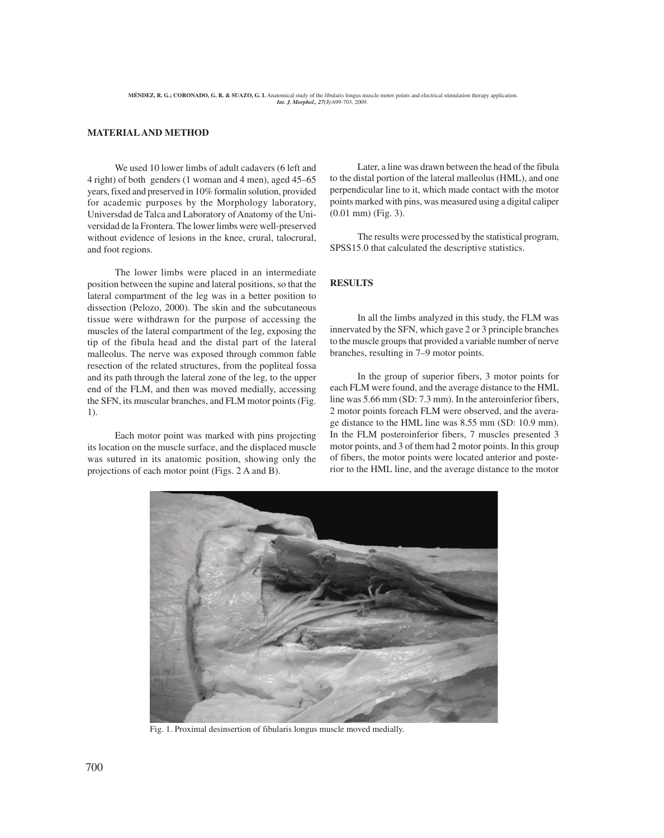#### **MATERIAL AND METHOD**

We used 10 lower limbs of adult cadavers (6 left and 4 right) of both genders (1 woman and 4 men), aged 45–65 years, fixed and preserved in 10% formalin solution, provided for academic purposes by the Morphology laboratory, Universdad de Talca and Laboratory of Anatomy of the Universidad de la Frontera. The lower limbs were well-preserved without evidence of lesions in the knee, crural, talocrural, and foot regions.

The lower limbs were placed in an intermediate position between the supine and lateral positions, so that the lateral compartment of the leg was in a better position to dissection (Pelozo, 2000). The skin and the subcutaneous tissue were withdrawn for the purpose of accessing the muscles of the lateral compartment of the leg, exposing the tip of the fibula head and the distal part of the lateral malleolus. The nerve was exposed through common fable resection of the related structures, from the popliteal fossa and its path through the lateral zone of the leg, to the upper end of the FLM, and then was moved medially, accessing the SFN, its muscular branches, and FLM motor points (Fig. 1).

Each motor point was marked with pins projecting its location on the muscle surface, and the displaced muscle was sutured in its anatomic position, showing only the projections of each motor point (Figs. 2 A and B).

Later, a line was drawn between the head of the fibula to the distal portion of the lateral malleolus (HML), and one perpendicular line to it, which made contact with the motor points marked with pins, was measured using a digital caliper (0.01 mm) (Fig. 3).

The results were processed by the statistical program, SPSS15.0 that calculated the descriptive statistics.

#### **RESULTS**

In all the limbs analyzed in this study, the FLM was innervated by the SFN, which gave 2 or 3 principle branches to the muscle groups that provided a variable number of nerve branches, resulting in 7–9 motor points.

In the group of superior fibers, 3 motor points for each FLM were found, and the average distance to the HML line was 5.66 mm (SD: 7.3 mm). In the anteroinferior fibers, 2 motor points foreach FLM were observed, and the average distance to the HML line was 8.55 mm (SD: 10.9 mm). In the FLM posteroinferior fibers, 7 muscles presented 3 motor points, and 3 of them had 2 motor points. In this group of fibers, the motor points were located anterior and posterior to the HML line, and the average distance to the motor



Fig. 1. Proximal desinsertion of fibularis longus muscle moved medially.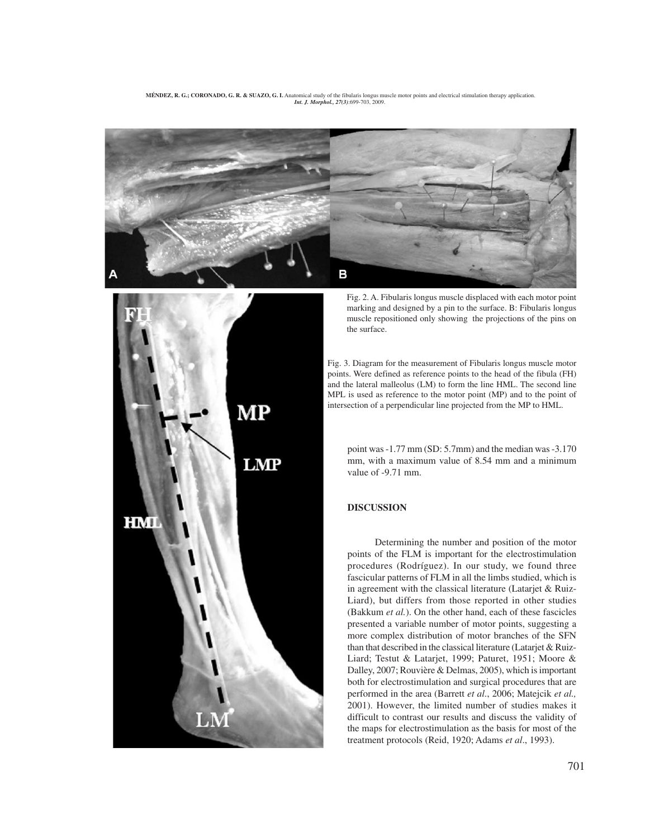**MÉNDEZ, R. G.; CORONADO, G. R. & SUAZO, G. I.** Anatomical study of the fibularis longus muscle motor points and electrical stimulation therapy application. *Int. J. Morphol., 27(3)*:699-703, 2009.





Fig. 2. A. Fibularis longus muscle displaced with each motor point marking and designed by a pin to the surface. B: Fibularis longus muscle repositioned only showing the projections of the pins on the surface.

Fig. 3. Diagram for the measurement of Fibularis longus muscle motor points. Were defined as reference points to the head of the fibula (FH) and the lateral malleolus (LM) to form the line HML. The second line MPL is used as reference to the motor point (MP) and to the point of intersection of a perpendicular line projected from the MP to HML.

point was -1.77 mm (SD: 5.7mm) and the median was -3.170 mm, with a maximum value of 8.54 mm and a minimum value of -9.71 mm.

## **DISCUSSION**

Determining the number and position of the motor points of the FLM is important for the electrostimulation procedures (Rodríguez). In our study, we found three fascicular patterns of FLM in all the limbs studied, which is in agreement with the classical literature (Latarjet & Ruiz-Liard), but differs from those reported in other studies (Bakkum *et al.*). On the other hand, each of these fascicles presented a variable number of motor points, suggesting a more complex distribution of motor branches of the SFN than that described in the classical literature (Latarjet & Ruiz-Liard; Testut & Latarjet, 1999; Paturet, 1951; Moore & Dalley, 2007; Rouvière & Delmas, 2005), which is important both for electrostimulation and surgical procedures that are performed in the area (Barrett *et al*., 2006; Matejcik *et al.,* 2001). However, the limited number of studies makes it difficult to contrast our results and discuss the validity of the maps for electrostimulation as the basis for most of the treatment protocols (Reid, 1920; Adams *et al*., 1993).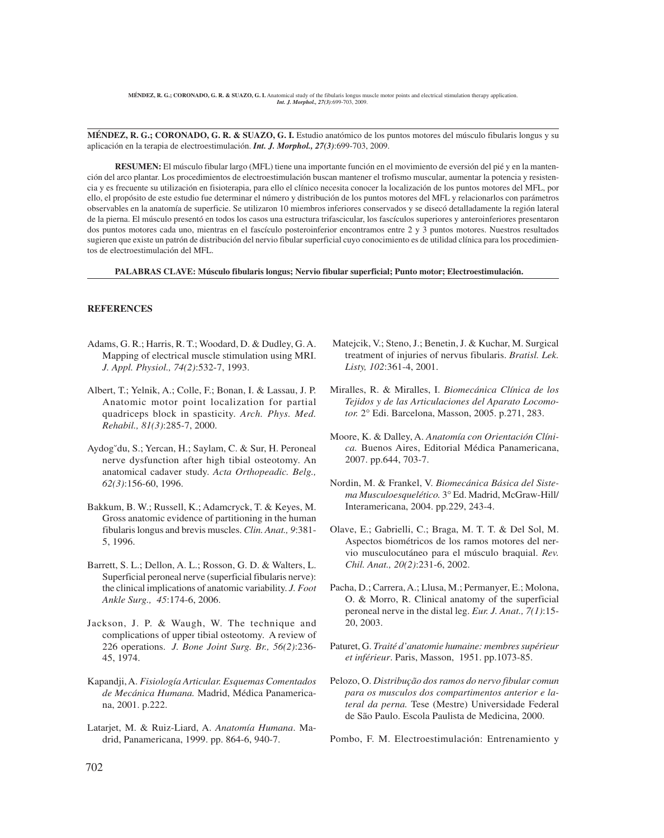**MÉNDEZ, R. G.; CORONADO, G. R. & SUAZO, G. I.** Estudio anatómico de los puntos motores del músculo fibularis longus y su aplicación en la terapia de electroestimulación. *Int. J. Morphol., 27(3)*:699-703, 2009.

**RESUMEN:** El músculo fibular largo (MFL) tiene una importante función en el movimiento de eversión del pié y en la mantención del arco plantar. Los procedimientos de electroestimulación buscan mantener el trofismo muscular, aumentar la potencia y resistencia y es frecuente su utilización en fisioterapia, para ello el clínico necesita conocer la localización de los puntos motores del MFL, por ello, el propósito de este estudio fue determinar el número y distribución de los puntos motores del MFL y relacionarlos con parámetros observables en la anatomía de superficie. Se utilizaron 10 miembros inferiores conservados y se disecó detalladamente la región lateral de la pierna. El músculo presentó en todos los casos una estructura trifascicular, los fascículos superiores y anteroinferiores presentaron dos puntos motores cada uno, mientras en el fascículo posteroinferior encontramos entre 2 y 3 puntos motores. Nuestros resultados sugieren que existe un patrón de distribución del nervio fibular superficial cuyo conocimiento es de utilidad clínica para los procedimientos de electroestimulación del MFL.

**PALABRAS CLAVE: Músculo fibularis longus; Nervio fibular superficial; Punto motor; Electroestimulación.**

### **REFERENCES**

- Adams, G. R.; Harris, R. T.; Woodard, D. & Dudley, G. A. Mapping of electrical muscle stimulation using MRI. *J. Appl. Physiol., 74(2)*:532-7, 1993.
- Albert, T.; Yelnik, A.; Colle, F.; Bonan, I. & Lassau, J. P. Anatomic motor point localization for partial quadriceps block in spasticity. *Arch. Phys. Med. Rehabil., 81(3)*:285-7, 2000.
- Aydog˘du, S.; Yercan, H.; Saylam, C. & Sur, H. Peroneal nerve dysfunction after high tibial osteotomy. An anatomical cadaver study. *Acta Orthopeadic. Belg., 62(3)*:156-60, 1996.
- Bakkum, B. W.; Russell, K.; Adamcryck, T. & Keyes, M. Gross anatomic evidence of partitioning in the human fibularis longus and brevis muscles. *Clin. Anat., 9*:381- 5, 1996.
- Barrett, S. L.; Dellon, A. L.; Rosson, G. D. & Walters, L. Superficial peroneal nerve (superficial fibularis nerve): the clinical implications of anatomic variability. *J. Foot Ankle Surg., 45*:174-6, 2006.
- Jackson, J. P. & Waugh, W. The technique and complications of upper tibial osteotomy. A review of 226 operations. *J. Bone Joint Surg. Br., 56(2)*:236- 45, 1974.
- Kapandji, A. *Fisiología Articular. Esquemas Comentados de Mecánica Humana.* Madrid, Médica Panamericana, 2001. p.222.
- Latarjet, M. & Ruiz-Liard, A. *Anatomía Humana*. Madrid, Panamericana, 1999. pp. 864-6, 940-7.
- Matejcik, V.; Steno, J.; Benetin, J. & Kuchar, M. Surgical treatment of injuries of nervus fibularis. *Bratisl. Lek. Listy, 102*:361-4, 2001.
- Miralles, R. & Miralles, I. *Biomecánica Clínica de los Tejidos y de las Articulaciones del Aparato Locomotor.* 2° Edi. Barcelona, Masson, 2005. p.271, 283.
- Moore, K. & Dalley, A. *Anatomía con Orientación Clínica.* Buenos Aires, Editorial Médica Panamericana, 2007. pp.644, 703-7.
- Nordin, M. & Frankel, V. *Biomecánica Básica del Sistema Musculoesquelético.* 3° Ed. Madrid, McGraw-Hill/ Interamericana, 2004. pp.229, 243-4.
- Olave, E.; Gabrielli, C.; Braga, M. T. T. & Del Sol, M. Aspectos biométricos de los ramos motores del nervio musculocutáneo para el músculo braquial. *Rev. Chil. Anat., 20(2)*:231-6, 2002.
- Pacha, D.; Carrera, A.; Llusa, M.; Permanyer, E.; Molona, O. & Morro, R. Clinical anatomy of the superficial peroneal nerve in the distal leg. *Eur. J. Anat., 7(1)*:15- 20, 2003.
- Paturet, G. *Traité d'anatomie humaine: membres supérieur et inférieur*. Paris, Masson, 1951. pp.1073-85.
- Pelozo, O. *Distribução dos ramos do nervo fibular comun para os musculos dos compartimentos anterior e lateral da perna.* Tese (Mestre) Universidade Federal de São Paulo. Escola Paulista de Medicina, 2000.
- Pombo, F. M. Electroestimulación: Entrenamiento y